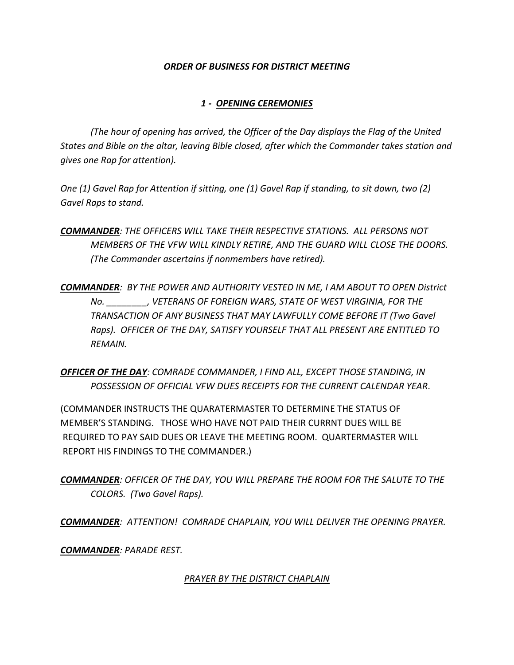### *ORDER OF BUSINESS FOR DISTRICT MEETING*

## *1 - OPENING CEREMONIES*

*(The hour of opening has arrived, the Officer of the Day displays the Flag of the United States and Bible on the altar, leaving Bible closed, after which the Commander takes station and gives one Rap for attention).* 

*One (1) Gavel Rap for Attention if sitting, one (1) Gavel Rap if standing, to sit down, two (2) Gavel Raps to stand.* 

*COMMANDER: THE OFFICERS WILL TAKE THEIR RESPECTIVE STATIONS. ALL PERSONS NOT MEMBERS OF THE VFW WILL KINDLY RETIRE, AND THE GUARD WILL CLOSE THE DOORS. (The Commander ascertains if nonmembers have retired).* 

*COMMANDER: BY THE POWER AND AUTHORITY VESTED IN ME, I AM ABOUT TO OPEN District No. \_\_\_\_\_\_\_\_, VETERANS OF FOREIGN WARS, STATE OF WEST VIRGINIA, FOR THE TRANSACTION OF ANY BUSINESS THAT MAY LAWFULLY COME BEFORE IT (Two Gavel Raps). OFFICER OF THE DAY, SATISFY YOURSELF THAT ALL PRESENT ARE ENTITLED TO REMAIN.*

*OFFICER OF THE DAY: COMRADE COMMANDER, I FIND ALL, EXCEPT THOSE STANDING, IN POSSESSION OF OFFICIAL VFW DUES RECEIPTS FOR THE CURRENT CALENDAR YEAR*.

(COMMANDER INSTRUCTS THE QUARATERMASTER TO DETERMINE THE STATUS OF MEMBER'S STANDING. THOSE WHO HAVE NOT PAID THEIR CURRNT DUES WILL BE REQUIRED TO PAY SAID DUES OR LEAVE THE MEETING ROOM. QUARTERMASTER WILL REPORT HIS FINDINGS TO THE COMMANDER.)

*COMMANDER: OFFICER OF THE DAY, YOU WILL PREPARE THE ROOM FOR THE SALUTE TO THE COLORS. (Two Gavel Raps).* 

*COMMANDER: ATTENTION! COMRADE CHAPLAIN, YOU WILL DELIVER THE OPENING PRAYER.* 

*COMMANDER: PARADE REST.* 

## *PRAYER BY THE DISTRICT CHAPLAIN*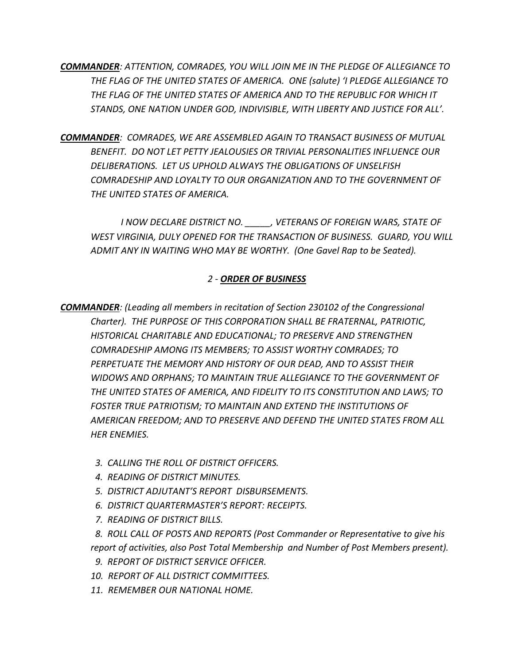*COMMANDER: ATTENTION, COMRADES, YOU WILL JOIN ME IN THE PLEDGE OF ALLEGIANCE TO THE FLAG OF THE UNITED STATES OF AMERICA. ONE (salute) 'I PLEDGE ALLEGIANCE TO THE FLAG OF THE UNITED STATES OF AMERICA AND TO THE REPUBLIC FOR WHICH IT STANDS, ONE NATION UNDER GOD, INDIVISIBLE, WITH LIBERTY AND JUSTICE FOR ALL'.* 

*COMMANDER: COMRADES, WE ARE ASSEMBLED AGAIN TO TRANSACT BUSINESS OF MUTUAL BENEFIT. DO NOT LET PETTY JEALOUSIES OR TRIVIAL PERSONALITIES INFLUENCE OUR DELIBERATIONS. LET US UPHOLD ALWAYS THE OBLIGATIONS OF UNSELFISH COMRADESHIP AND LOYALTY TO OUR ORGANIZATION AND TO THE GOVERNMENT OF THE UNITED STATES OF AMERICA.* 

*I NOW DECLARE DISTRICT NO. \_\_\_\_\_, VETERANS OF FOREIGN WARS, STATE OF WEST VIRGINIA, DULY OPENED FOR THE TRANSACTION OF BUSINESS. GUARD, YOU WILL ADMIT ANY IN WAITING WHO MAY BE WORTHY. (One Gavel Rap to be Seated).* 

# *2 - ORDER OF BUSINESS*

*COMMANDER: (Leading all members in recitation of Section 230102 of the Congressional Charter). THE PURPOSE OF THIS CORPORATION SHALL BE FRATERNAL, PATRIOTIC, HISTORICAL CHARITABLE AND EDUCATIONAL; TO PRESERVE AND STRENGTHEN COMRADESHIP AMONG ITS MEMBERS; TO ASSIST WORTHY COMRADES; TO PERPETUATE THE MEMORY AND HISTORY OF OUR DEAD, AND TO ASSIST THEIR WIDOWS AND ORPHANS; TO MAINTAIN TRUE ALLEGIANCE TO THE GOVERNMENT OF THE UNITED STATES OF AMERICA, AND FIDELITY TO ITS CONSTITUTION AND LAWS; TO FOSTER TRUE PATRIOTISM; TO MAINTAIN AND EXTEND THE INSTITUTIONS OF AMERICAN FREEDOM; AND TO PRESERVE AND DEFEND THE UNITED STATES FROM ALL HER ENEMIES.* 

- *3. CALLING THE ROLL OF DISTRICT OFFICERS.*
- *4. READING OF DISTRICT MINUTES.*
- *5. DISTRICT ADJUTANT'S REPORT DISBURSEMENTS.*
- *6. DISTRICT QUARTERMASTER'S REPORT: RECEIPTS.*
- *7. READING OF DISTRICT BILLS.*

 *8. ROLL CALL OF POSTS AND REPORTS (Post Commander or Representative to give his report of activities, also Post Total Membership and Number of Post Members present).* 

- *9. REPORT OF DISTRICT SERVICE OFFICER.*
- *10. REPORT OF ALL DISTRICT COMMITTEES.*
- *11. REMEMBER OUR NATIONAL HOME.*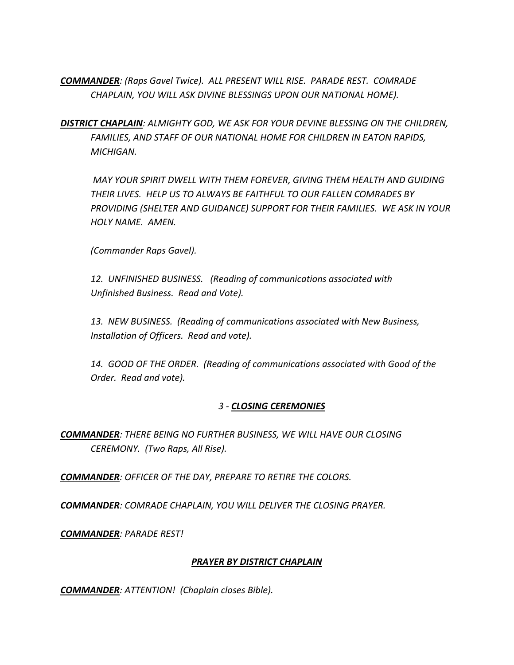*COMMANDER: (Raps Gavel Twice). ALL PRESENT WILL RISE. PARADE REST. COMRADE CHAPLAIN, YOU WILL ASK DIVINE BLESSINGS UPON OUR NATIONAL HOME).* 

*DISTRICT CHAPLAIN: ALMIGHTY GOD, WE ASK FOR YOUR DEVINE BLESSING ON THE CHILDREN, FAMILIES, AND STAFF OF OUR NATIONAL HOME FOR CHILDREN IN EATON RAPIDS, MICHIGAN.*

*MAY YOUR SPIRIT DWELL WITH THEM FOREVER, GIVING THEM HEALTH AND GUIDING THEIR LIVES. HELP US TO ALWAYS BE FAITHFUL TO OUR FALLEN COMRADES BY PROVIDING (SHELTER AND GUIDANCE) SUPPORT FOR THEIR FAMILIES. WE ASK IN YOUR HOLY NAME. AMEN.*

*(Commander Raps Gavel).* 

*12. UNFINISHED BUSINESS. (Reading of communications associated with Unfinished Business. Read and Vote).* 

*13. NEW BUSINESS. (Reading of communications associated with New Business, Installation of Officers. Read and vote).* 

*14. GOOD OF THE ORDER. (Reading of communications associated with Good of the Order. Read and vote).* 

## *3 - CLOSING CEREMONIES*

*COMMANDER: THERE BEING NO FURTHER BUSINESS, WE WILL HAVE OUR CLOSING CEREMONY. (Two Raps, All Rise).* 

*COMMANDER: OFFICER OF THE DAY, PREPARE TO RETIRE THE COLORS.* 

*COMMANDER: COMRADE CHAPLAIN, YOU WILL DELIVER THE CLOSING PRAYER.*

*COMMANDER: PARADE REST!*

#### *PRAYER BY DISTRICT CHAPLAIN*

*COMMANDER: ATTENTION! (Chaplain closes Bible).*